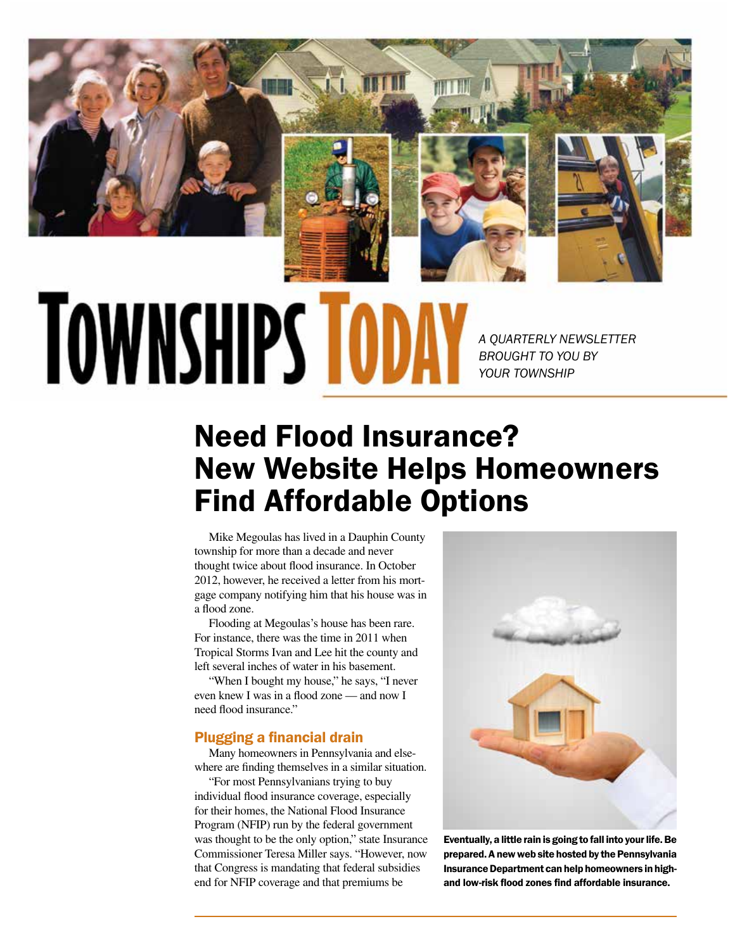

# **TOWNSHIPS TO**

*A QUARTERLY NEWSLETTER BROUGHT TO YOU BY YOUR TOWNSHIP*

# Need Flood Insurance? New Website Helps Homeowners Find Affordable Options

Mike Megoulas has lived in a Dauphin County township for more than a decade and never thought twice about flood insurance. In October 2012, however, he received a letter from his mortgage company notifying him that his house was in a flood zone.

Flooding at Megoulas's house has been rare. For instance, there was the time in 2011 when Tropical Storms Ivan and Lee hit the county and left several inches of water in his basement.

"When I bought my house," he says, "I never even knew I was in a flood zone — and now I need flood insurance."

#### Plugging a financial drain

Many homeowners in Pennsylvania and elsewhere are finding themselves in a similar situation.

"For most Pennsylvanians trying to buy individual flood insurance coverage, especially for their homes, the National Flood Insurance Program (NFIP) run by the federal government was thought to be the only option," state Insurance Commissioner Teresa Miller says. "However, now that Congress is mandating that federal subsidies end for NFIP coverage and that premiums be



Eventually, a little rain is going to fall into your life. Be prepared. A new web site hosted by the Pennsylvania Insurance Department can help homeowners in highand low-risk flood zones find affordable insurance.